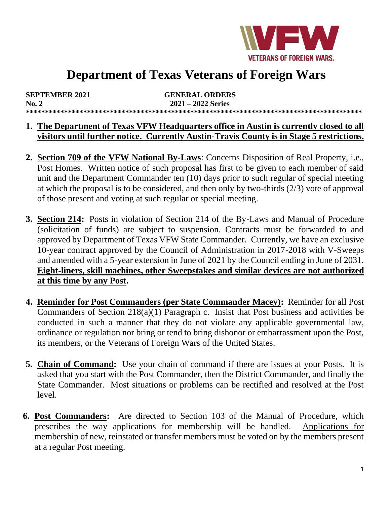

# **Department of Texas Veterans of Foreign Wars**

| <b>SEPTEMBER 2021</b> | <b>GENERAL ORDERS</b> |
|-----------------------|-----------------------|
| No. 2                 | $2021 - 2022$ Series  |
|                       |                       |

#### **1. The Department of Texas VFW Headquarters office in Austin is currently closed to all visitors until further notice. Currently Austin-Travis County is in Stage 5 restrictions.**

- **2. Section 709 of the VFW National By-Laws**: Concerns Disposition of Real Property, i.e., Post Homes. Written notice of such proposal has first to be given to each member of said unit and the Department Commander ten (10) days prior to such regular of special meeting at which the proposal is to be considered, and then only by two-thirds (2/3) vote of approval of those present and voting at such regular or special meeting.
- **3. Section 214:** Posts in violation of Section 214 of the By-Laws and Manual of Procedure (solicitation of funds) are subject to suspension. Contracts must be forwarded to and approved by Department of Texas VFW State Commander. Currently, we have an exclusive 10-year contract approved by the Council of Administration in 2017-2018 with V-Sweeps and amended with a 5-year extension in June of 2021 by the Council ending in June of 2031. **Eight-liners, skill machines, other Sweepstakes and similar devices are not authorized at this time by any Post.**
- **4. Reminder for Post Commanders (per State Commander Macey):** Reminder for all Post Commanders of Section 218(a)(1) Paragraph c. Insist that Post business and activities be conducted in such a manner that they do not violate any applicable governmental law, ordinance or regulation nor bring or tend to bring dishonor or embarrassment upon the Post, its members, or the Veterans of Foreign Wars of the United States.
- **5. Chain of Command:** Use your chain of command if there are issues at your Posts. It is asked that you start with the Post Commander, then the District Commander, and finally the State Commander. Most situations or problems can be rectified and resolved at the Post level.
- **6. Post Commanders:** Are directed to Section 103 of the Manual of Procedure, which prescribes the way applications for membership will be handled. Applications for membership of new, reinstated or transfer members must be voted on by the members present at a regular Post meeting.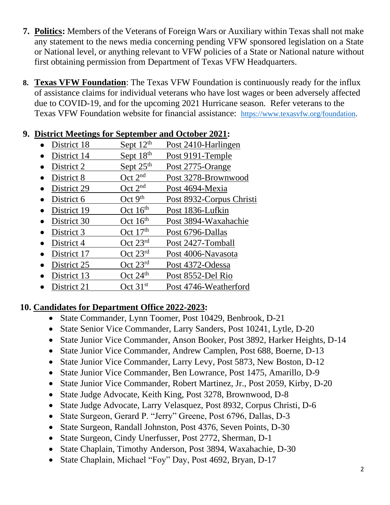- **7. Politics:** Members of the Veterans of Foreign Wars or Auxiliary within Texas shall not make any statement to the news media concerning pending VFW sponsored legislation on a State or National level, or anything relevant to VFW policies of a State or National nature without first obtaining permission from Department of Texas VFW Headquarters.
- **8. Texas VFW Foundation**: The Texas VFW Foundation is continuously ready for the influx of assistance claims for individual veterans who have lost wages or been adversely affected due to COVID-19, and for the upcoming 2021 Hurricane season. Refer veterans to the Texas VFW Foundation website for financial assistance: [https://www.texasvfw.org/foundation.](https://www.texasvfw.org/foundation)

### **9. District Meetings for September and October 2021:**

- District 18 Sept  $12<sup>th</sup>$  Post 2410-Harlingen
- District 14 Sept  $18<sup>th</sup>$  Post 9191-Temple
- District 2 Sept  $25<sup>th</sup>$  Post 2775-Orange
- District 8 Oct 2<sup>nd</sup> Post 3278-Brownwood
- District 29  $\qquad \qquad$  Oct 2<sup>nd</sup> Post 4694-Mexia
- District 6  $\qquad \qquad$  Oct 9<sup>th</sup> Post 8932-Corpus Christi
- District 19  $\qquad \qquad$  Oct 16<sup>th</sup> Post 1836-Lufkin
- District 30 Oct 16<sup>th</sup> Post 3894-Waxahachie
- District 3  $\qquad \qquad$  Oct 17<sup>th</sup> Post 6796-Dallas
- District 4 Oct 23<sup>rd</sup> Post 2427-Tomball
- District 17 Oct 23<sup>rd</sup> Post 4006-Navasota
- District 25 Oct 23<sup>rd</sup> Post 4372-Odessa
- District 13 Oct 24<sup>th</sup> Post 8552-Del Rio
- District 21 Oct 31<sup>st</sup> Post 4746-Weatherford

### **10. Candidates for Department Office 2022-2023:**

- State Commander, Lynn Toomer, Post 10429, Benbrook, D-21
- State Senior Vice Commander, Larry Sanders, Post 10241, Lytle, D-20
- State Junior Vice Commander, Anson Booker, Post 3892, Harker Heights, D-14
- State Junior Vice Commander, Andrew Camplen, Post 688, Boerne, D-13
- State Junior Vice Commander, Larry Levy, Post 5873, New Boston, D-12
- State Junior Vice Commander, Ben Lowrance, Post 1475, Amarillo, D-9
- State Junior Vice Commander, Robert Martinez, Jr., Post 2059, Kirby, D-20
- State Judge Advocate, Keith King, Post 3278, Brownwood, D-8
- State Judge Advocate, Larry Velasquez, Post 8932, Corpus Christi, D-6
- State Surgeon, Gerard P. "Jerry" Greene, Post 6796, Dallas, D-3
- State Surgeon, Randall Johnston, Post 4376, Seven Points, D-30
- State Surgeon, Cindy Unerfusser, Post 2772, Sherman, D-1
- State Chaplain, Timothy Anderson, Post 3894, Waxahachie, D-30
- State Chaplain, Michael "Foy" Day, Post 4692, Bryan, D-17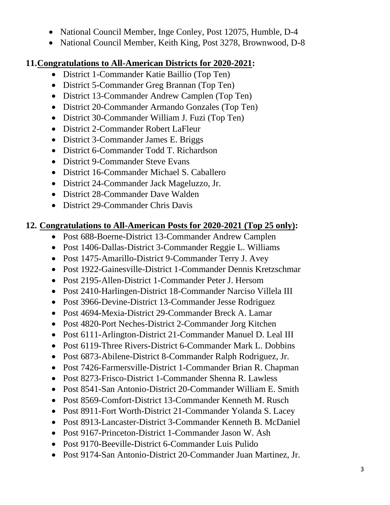- National Council Member, Inge Conley, Post 12075, Humble, D-4
- National Council Member, Keith King, Post 3278, Brownwood, D-8

## **11.Congratulations to All-American Districts for 2020-2021:**

- District 1-Commander Katie Baillio (Top Ten)
- District 5-Commander Greg Brannan (Top Ten)
- District 13-Commander Andrew Camplen (Top Ten)
- District 20-Commander Armando Gonzales (Top Ten)
- District 30-Commander William J. Fuzi (Top Ten)
- District 2-Commander Robert LaFleur
- District 3-Commander James E. Briggs
- District 6-Commander Todd T. Richardson
- District 9-Commander Steve Evans
- District 16-Commander Michael S. Caballero
- District 24-Commander Jack Mageluzzo, Jr.
- District 28-Commander Dave Walden
- District 29-Commander Chris Davis

# **12. Congratulations to All-American Posts for 2020-2021 (Top 25 only):**

- Post 688-Boerne-District 13-Commander Andrew Camplen
- Post 1406-Dallas-District 3-Commander Reggie L. Williams
- Post 1475-Amarillo-District 9-Commander Terry J. Avey
- Post 1922-Gainesville-District 1-Commander Dennis Kretzschmar
- Post 2195-Allen-District 1-Commander Peter J. Hersom
- Post 2410-Harlingen-District 18-Commander Narciso Villela III
- Post 3966-Devine-District 13-Commander Jesse Rodriguez
- Post 4694-Mexia-District 29-Commander Breck A. Lamar
- Post 4820-Port Neches-District 2-Commander Jorg Kitchen
- Post 6111-Arlington-District 21-Commander Manuel D. Leal III
- Post 6119-Three Rivers-District 6-Commander Mark L. Dobbins
- Post 6873-Abilene-District 8-Commander Ralph Rodriguez, Jr.
- Post 7426-Farmersville-District 1-Commander Brian R. Chapman
- Post 8273-Frisco-District 1-Commander Shenna R. Lawless
- Post 8541-San Antonio-District 20-Commander William E. Smith
- Post 8569-Comfort-District 13-Commander Kenneth M. Rusch
- Post 8911-Fort Worth-District 21-Commander Yolanda S. Lacey
- Post 8913-Lancaster-District 3-Commander Kenneth B. McDaniel
- Post 9167-Princeton-District 1-Commander Jason W. Ash
- Post 9170-Beeville-District 6-Commander Luis Pulido
- Post 9174-San Antonio-District 20-Commander Juan Martinez, Jr.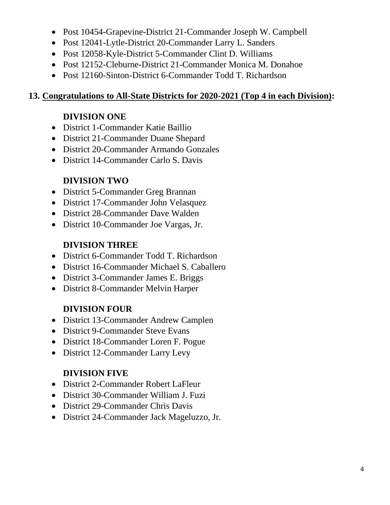- Post 10454-Grapevine-District 21-Commander Joseph W. Campbell
- Post 12041-Lytle-District 20-Commander Larry L. Sanders
- Post 12058-Kyle-District 5-Commander Clint D. Williams
- Post 12152-Cleburne-District 21-Commander Monica M. Donahoe
- Post 12160-Sinton-District 6-Commander Todd T. Richardson

## **13. Congratulations to All-State Districts for 2020-2021 (Top 4 in each Division):**

# **DIVISION ONE**

- District 1-Commander Katie Baillio
- District 21-Commander Duane Shepard
- District 20-Commander Armando Gonzales
- District 14-Commander Carlo S. Davis

# **DIVISION TWO**

- District 5-Commander Greg Brannan
- District 17-Commander John Velasquez
- District 28-Commander Dave Walden
- District 10-Commander Joe Vargas, Jr.

# **DIVISION THREE**

- District 6-Commander Todd T. Richardson
- District 16-Commander Michael S. Caballero
- District 3-Commander James E. Briggs
- District 8-Commander Melvin Harper

# **DIVISION FOUR**

- District 13-Commander Andrew Camplen
- District 9-Commander Steve Evans
- District 18-Commander Loren F. Pogue
- District 12-Commander Larry Levy

# **DIVISION FIVE**

- District 2-Commander Robert LaFleur
- District 30-Commander William J. Fuzi
- District 29-Commander Chris Davis
- District 24-Commander Jack Mageluzzo, Jr.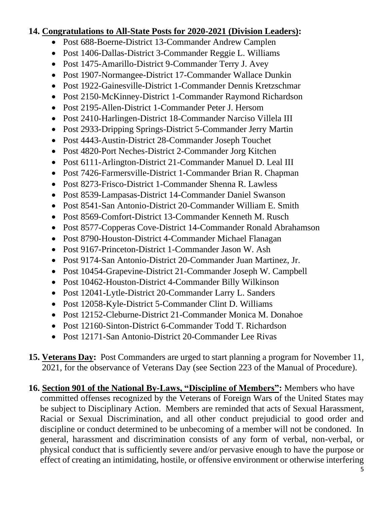#### **14. Congratulations to All-State Posts for 2020-2021 (Division Leaders):**

- Post 688-Boerne-District 13-Commander Andrew Camplen
- Post 1406-Dallas-District 3-Commander Reggie L. Williams
- Post 1475-Amarillo-District 9-Commander Terry J. Avey
- Post 1907-Normangee-District 17-Commander Wallace Dunkin
- Post 1922-Gainesville-District 1-Commander Dennis Kretzschmar
- Post 2150-McKinney-District 1-Commander Raymond Richardson
- Post 2195-Allen-District 1-Commander Peter J. Hersom
- Post 2410-Harlingen-District 18-Commander Narciso Villela III
- Post 2933-Dripping Springs-District 5-Commander Jerry Martin
- Post 4443-Austin-District 28-Commander Joseph Touchet
- Post 4820-Port Neches-District 2-Commander Jorg Kitchen
- Post 6111-Arlington-District 21-Commander Manuel D. Leal III
- Post 7426-Farmersville-District 1-Commander Brian R. Chapman
- Post 8273-Frisco-District 1-Commander Shenna R. Lawless
- Post 8539-Lampasas-District 14-Commander Daniel Swanson
- Post 8541-San Antonio-District 20-Commander William E. Smith
- Post 8569-Comfort-District 13-Commander Kenneth M. Rusch
- Post 8577-Copperas Cove-District 14-Commander Ronald Abrahamson
- Post 8790-Houston-District 4-Commander Michael Flanagan
- Post 9167-Princeton-District 1-Commander Jason W. Ash
- Post 9174-San Antonio-District 20-Commander Juan Martinez, Jr.
- Post 10454-Grapevine-District 21-Commander Joseph W. Campbell
- Post 10462-Houston-District 4-Commander Billy Wilkinson
- Post 12041-Lytle-District 20-Commander Larry L. Sanders
- Post 12058-Kyle-District 5-Commander Clint D. Williams
- Post 12152-Cleburne-District 21-Commander Monica M. Donahoe
- Post 12160-Sinton-District 6-Commander Todd T. Richardson
- Post 12171-San Antonio-District 20-Commander Lee Rivas
- **15. Veterans Day:** Post Commanders are urged to start planning a program for November 11, 2021, for the observance of Veterans Day (see Section 223 of the Manual of Procedure).
- **16. Section 901 of the National By-Laws, "Discipline of Members":** Members who have committed offenses recognized by the Veterans of Foreign Wars of the United States may be subject to Disciplinary Action. Members are reminded that acts of Sexual Harassment, Racial or Sexual Discrimination, and all other conduct prejudicial to good order and discipline or conduct determined to be unbecoming of a member will not be condoned. In general, harassment and discrimination consists of any form of verbal, non-verbal, or physical conduct that is sufficiently severe and/or pervasive enough to have the purpose or effect of creating an intimidating, hostile, or offensive environment or otherwise interfering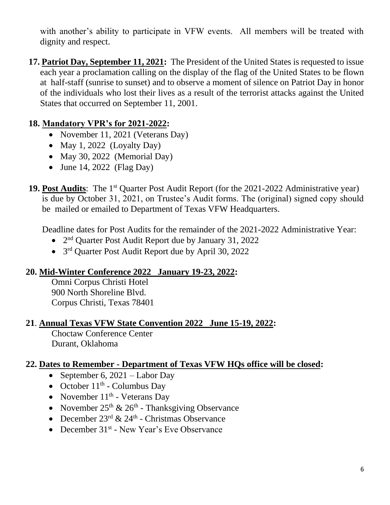with another's ability to participate in VFW events. All members will be treated with dignity and respect.

**17. Patriot Day, September 11, 2021:** The President of the United States is requested to issue each year a proclamation calling on the display of the flag of the United States to be flown at half-staff (sunrise to sunset) and to observe a moment of silence on Patriot Day in honor of the individuals who lost their lives as a result of the terrorist attacks against the United States that occurred on September 11, 2001.

### **18. Mandatory VPR's for 2021-2022:**

- November 11, 2021 (Veterans Day)
- May 1, 2022 (Loyalty Day)
- May 30, 2022 (Memorial Day)
- June 14, 2022 (Flag Day)
- **19. Post Audits**: The 1<sup>st</sup> Quarter Post Audit Report (for the 2021-2022 Administrative year) is due by October 31, 2021, on Trustee's Audit forms. The (original) signed copy should be mailed or emailed to Department of Texas VFW Headquarters.

Deadline dates for Post Audits for the remainder of the 2021-2022 Administrative Year:

- 2<sup>nd</sup> Quarter Post Audit Report due by January 31, 2022
- 3<sup>rd</sup> Quarter Post Audit Report due by April 30, 2022

### **20. Mid-Winter Conference 2022 January 19-23, 2022:**

Omni Corpus Christi Hotel 900 North Shoreline Blvd. Corpus Christi, Texas 78401

### **21**. **Annual Texas VFW State Convention 2022 June 15-19, 2022:**

Choctaw Conference Center Durant, Oklahoma

### **22. Dates to Remember - Department of Texas VFW HQs office will be closed:**

- September 6,  $2021 -$ Labor Day
- October  $11<sup>th</sup>$  Columbus Day
- November  $11<sup>th</sup>$  Veterans Day
- November  $25<sup>th</sup>$  &  $26<sup>th</sup>$  Thanksgiving Observance
- December  $23^{\text{rd}} \& 24^{\text{th}}$  Christmas Observance
- December 31<sup>st</sup> New Year's Eve Observance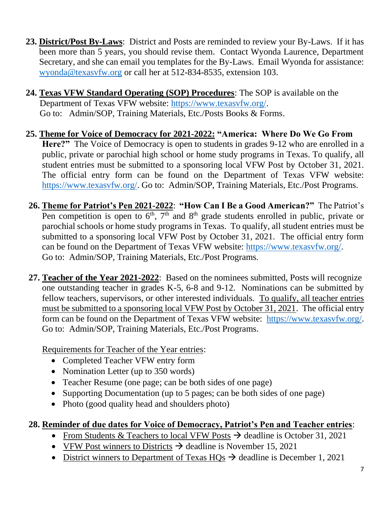- **23. District/Post By-Laws**: District and Posts are reminded to review your By-Laws. If it has been more than 5 years, you should revise them. Contact Wyonda Laurence, Department Secretary, and she can email you templates for the By-Laws. Email Wyonda for assistance: [wyonda@texasvfw.org](mailto:wyonda@texasvfw.org) or call her at 512-834-8535, extension 103.
- **24. Texas VFW Standard Operating (SOP) Procedures**: The SOP is available on the Department of Texas VFW website: [https://www.texasvfw.org/.](https://www.texasvfw.org/) Go to: Admin/SOP, Training Materials, Etc./Posts Books & Forms.
- **25. Theme for Voice of Democracy for 2021-2022: "America: Where Do We Go From Here?"** The Voice of Democracy is open to students in grades 9-12 who are enrolled in a public, private or parochial high school or home study programs in Texas. To qualify, all student entries must be submitted to a sponsoring local VFW Post by October 31, 2021. The official entry form can be found on the Department of Texas VFW website: [https://www.texasvfw.org/.](https://www.texasvfw.org/) Go to: Admin/SOP, Training Materials, Etc./Post Programs.
- **26. Theme for Patriot's Pen 2021-2022**: **"How Can I Be a Good American?"** The Patriot's Pen competition is open to  $6<sup>th</sup>$ ,  $7<sup>th</sup>$  and  $8<sup>th</sup>$  grade students enrolled in public, private or parochial schools or home study programs in Texas. To qualify, all student entries must be submitted to a sponsoring local VFW Post by October 31, 2021. The official entry form can be found on the Department of Texas VFW website: [https://www.texasvfw.org/.](https://www.texasvfw.org/) Go to: Admin/SOP, Training Materials, Etc./Post Programs.
- **27. Teacher of the Year 2021-2022**: Based on the nominees submitted, Posts will recognize one outstanding teacher in grades K-5, 6-8 and 9-12. Nominations can be submitted by fellow teachers, supervisors, or other interested individuals. To qualify, all teacher entries must be submitted to a sponsoring local VFW Post by October 31, 2021. The official entry form can be found on the Department of Texas VFW website: [https://www.texasvfw.org/.](https://www.texasvfw.org/) Go to: Admin/SOP, Training Materials, Etc./Post Programs.

Requirements for Teacher of the Year entries:

- Completed Teacher VFW entry form
- Nomination Letter (up to 350 words)
- Teacher Resume (one page; can be both sides of one page)
- Supporting Documentation (up to 5 pages; can be both sides of one page)
- Photo (good quality head and shoulders photo)

# **28. Reminder of due dates for Voice of Democracy, Patriot's Pen and Teacher entries**:

- From Students & Teachers to local VFW Posts  $\rightarrow$  deadline is October 31, 2021
- VFW Post winners to Districts  $\rightarrow$  deadline is November 15, 2021
- District winners to Department of Texas  $HOs \rightarrow$  deadline is December 1, 2021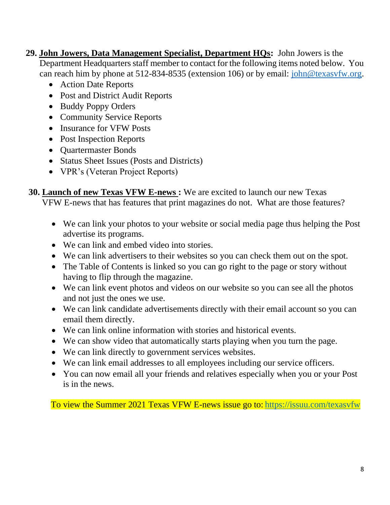- **29. John Jowers, Data Management Specialist, Department HQs:** John Jowers is the Department Headquarters staff member to contact for the following items noted below. You can reach him by phone at 512-834-8535 (extension 106) or by email: [john@texasvfw.org.](mailto:john@texasvfw.org)
	- Action Date Reports
	- Post and District Audit Reports
	- Buddy Poppy Orders
	- Community Service Reports
	- Insurance for VFW Posts
	- Post Inspection Reports
	- Quartermaster Bonds
	- Status Sheet Issues (Posts and Districts)
	- VPR's (Veteran Project Reports)

**30. Launch of new Texas VFW E-news :** We are excited to launch our new Texas VFW E-news that has features that print magazines do not. What are those features?

- We can link your photos to your website or social media page thus helping the Post advertise its programs.
- We can link and embed video into stories.
- We can link advertisers to their websites so you can check them out on the spot.
- The Table of Contents is linked so you can go right to the page or story without having to flip through the magazine.
- We can link event photos and videos on our website so you can see all the photos and not just the ones we use.
- We can link candidate advertisements directly with their email account so you can email them directly.
- We can link online information with stories and historical events.
- We can show video that automatically starts playing when you turn the page.
- We can link directly to government services websites.
- We can link email addresses to all employees including our service officers.
- You can now email all your friends and relatives especially when you or your Post is in the news.

To view the Summer 2021 Texas VFW E-news issue go to: <https://issuu.com/texasvfw>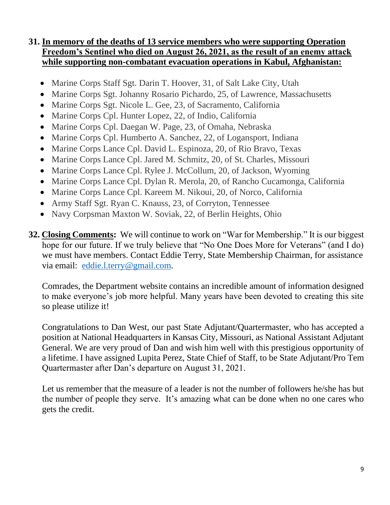### **31. In memory of the deaths of 13 service members who were supporting Operation Freedom's Sentinel who died on August 26, 2021, as the result of an enemy attack while supporting non-combatant evacuation operations in Kabul, Afghanistan:**

- Marine Corps Staff Sgt. Darin T. Hoover, 31, of Salt Lake City, Utah
- Marine Corps Sgt. Johanny Rosario Pichardo, 25, of Lawrence, Massachusetts
- Marine Corps Sgt. Nicole L. Gee, 23, of Sacramento, California
- Marine Corps Cpl. Hunter Lopez, 22, of Indio, California
- Marine Corps Cpl. Daegan W. Page, 23, of Omaha, Nebraska
- Marine Corps Cpl. Humberto A. Sanchez, 22, of Logansport, Indiana
- Marine Corps Lance Cpl. David L. Espinoza, 20, of Rio Bravo, Texas
- Marine Corps Lance Cpl. Jared M. Schmitz, 20, of St. Charles, Missouri
- Marine Corps Lance Cpl. Rylee J. McCollum, 20, of Jackson, Wyoming
- Marine Corps Lance Cpl. Dylan R. Merola, 20, of Rancho Cucamonga, California
- Marine Corps Lance Cpl. Kareem M. Nikoui, 20, of Norco, California
- Army Staff Sgt. Ryan C. Knauss, 23, of Corryton, Tennessee
- Navy Corpsman Maxton W. Soviak, 22, of Berlin Heights, Ohio
- **32. Closing Comments:** We will continue to work on "War for Membership." It is our biggest hope for our future. If we truly believe that "No One Does More for Veterans" (and I do) we must have members. Contact Eddie Terry, State Membership Chairman, for assistance via email: [eddie.l.terry@gmail.com.](mailto:eddie.l.terry@gmail.com)

Comrades, the Department website contains an incredible amount of information designed to make everyone's job more helpful. Many years have been devoted to creating this site so please utilize it!

Congratulations to Dan West, our past State Adjutant/Quartermaster, who has accepted a position at National Headquarters in Kansas City, Missouri, as National Assistant Adjutant General. We are very proud of Dan and wish him well with this prestigious opportunity of a lifetime. I have assigned Lupita Perez, State Chief of Staff, to be State Adjutant/Pro Tem Quartermaster after Dan's departure on August 31, 2021.

Let us remember that the measure of a leader is not the number of followers he/she has but the number of people they serve. It's amazing what can be done when no one cares who gets the credit.